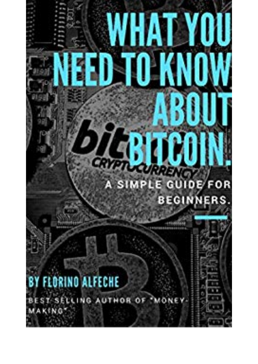## PE SIMPLE GUIDE/FOR N **BEGINNERS**

г

## **FLORINO ALFECHE** 8

BEST SELLING AUTHOR OF 'MO **MAKING**\*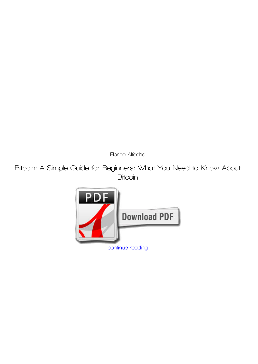*Florino Alfeche*

**Bitcoin: A Simple Guide for Beginners: What You Need to Know About Bitcoin**

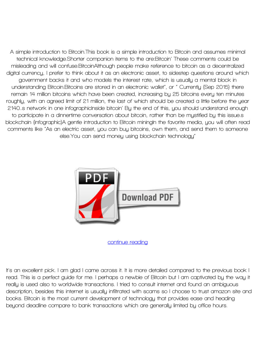**A simple introduction to Bitcoin.This book is a simple introduction to Bitcoin and assumes minimal technical knowledge.Shorter companion items to the are:Bitcoin' These comments could be misleading and will confuse.BitcoinAlthough people make reference to bitcoin as a decentralized digital currency, I prefer to think about it as an electronic asset, to sidestep questions around which government backs it and who models the interest rate, which is usually a mental block in understanding Bitcoin.Bitcoins are stored in an electronic wallet", or " Currently (Sep 2015) there remain 14 million bitcoins which have been created, increasing by 25 bitcoins every ten minutes roughly, with an agreed limit of 21 million, the last of which should be created a little before the year 2140..s network in one infographicInside bitcoin' By the end of this, you should understand enough to participate in a dinnertime conversation about bitcoin, rather than be mystified by this issue.s blockchain (infographic)A gentle introduction to Bitcoin miningIn the favorite media, you will often read comments like "As an electric asset, you can buy bitcoins, own them, and send them to someone else.You can send money using blockchain technology"**



**[continue reading](http://bit.ly/2Tge8Fv)**

**It's an excellent pick. I am glad I came across it. It is more detailed compared to the previous book I read. This is a perfect guide for me. I perhaps a newbie of Bitcoin but I am captivated by the way it really is used also to worldwide transactions. I tried to consult internet and found an ambiguous description, besides this internet is usually infiltrated with scams so I choose to trust amazon site and books. Bitcoin is the most current development of technology that provides ease and heading beyond deadline compare to bank transactions which are generally limited by office hours.**